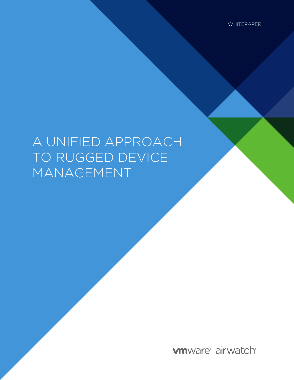# A UNIFIED APPROACH TO RUGGED DEVICE MANAGEMENT

**wware** airwatch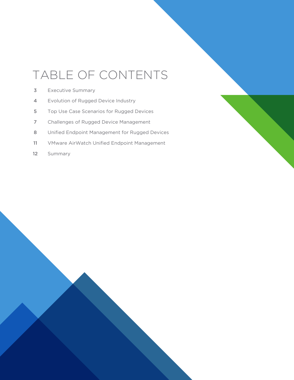## TABLE OF CONTENTS

- Executive Summary 3
- Evolution of Rugged Device Industry 4
- Top Use Case Scenarios for Rugged Devices 5
- Challenges of Rugged Device Management 7
- Unified Endpoint Management for Rugged Devices 8
- VMware AirWatch Unified Endpoint Management 11
- Summary 12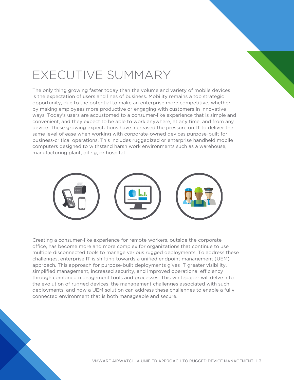## EXECUTIVE SUMMARY

The only thing growing faster today than the volume and variety of mobile devices is the expectation of users and lines of business. Mobility remains a top strategic opportunity, due to the potential to make an enterprise more competitive, whether by making employees more productive or engaging with customers in innovative ways. Today's users are accustomed to a consumer-like experience that is simple and convenient, and they expect to be able to work anywhere, at any time, and from any device. These growing expectations have increased the pressure on IT to deliver the same level of ease when working with corporate-owned devices purpose-built for business-critical operations. This includes ruggedized or enterprise handheld mobile computers designed to withstand harsh work environments such as a warehouse, manufacturing plant, oil rig, or hospital.



Creating a consumer-like experience for remote workers, outside the corporate office, has become more and more complex for organizations that continue to use multiple disconnected tools to manage various rugged deployments. To address these challenges, enterprise IT is shifting towards a unified endpoint management (UEM) approach. This approach for purpose-built deployments gives IT greater visibility, simplified management, increased security, and improved operational efficiency through combined management tools and processes. This whitepaper will delve into the evolution of rugged devices, the management challenges associated with such deployments, and how a UEM solution can address these challenges to enable a fully connected environment that is both manageable and secure.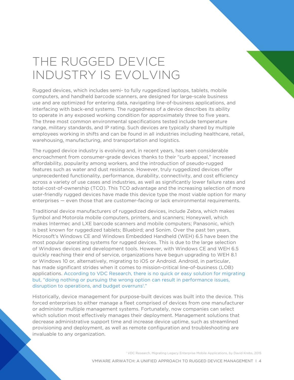## THE RUGGED DEVICE INDUSTRY IS EVOLVING

Rugged devices, which includes semi- to fully ruggedized laptops, tablets, mobile computers, and handheld barcode scanners, are designed for large-scale business use and are optimized for entering data, navigating line-of-business applications, and interfacing with back-end systems. The ruggedness of a device describes its ability to operate in any exposed working condition for approximately three to five years. The three most common environmental specifications tested include temperature range, military standards, and IP rating. Such devices are typically shared by multiple employees working in shifts and can be found in all industries including healthcare, retail, warehousing, manufacturing, and transportation and logistics.

The rugged device industry is evolving and, in recent years, has seen considerable encroachment from consumer-grade devices thanks to their "curb appeal," increased affordability, popularity among workers, and the introduction of pseudo-rugged features such as water and dust resistance. However, truly ruggedized devices offer unprecedented functionality, performance, durability, connectivity, and cost efficiency across a variety of use cases and industries, as well as significantly lower failure rates and total-cost-of-ownership (TCO). This TCO advantage and the increasing selection of more user-friendly rugged devices have made this device type the most viable option for many enterprises — even those that are customer-facing or lack environmental requirements.

Traditional device manufacturers of ruggedized devices, include Zebra, which makes Symbol and Motorola mobile computers, printers, and scanners; Honeywell, which makes Intermec and LXE barcode scanners and mobile computers; Panasonic, which is best known for ruggedized tablets; Bluebird; and Sonim. Over the past ten years, Microsoft's Windows CE and Windows Embedded Handheld (WEH) 6.5 have been the most popular operating systems for rugged devices. This is due to the large selection of Windows devices and development tools. However, with Windows CE and WEH 6.5 quickly reaching their end of service, organizations have begun upgrading to WEH 8.1 or Windows 10 or, alternatively, migrating to iOS or Android. Android, in particular, has made significant strides when it comes to mission-critical line-of-business (LOB) applications. According to VDC Research, there is no quick or easy solution for migrating but, "doing nothing or pursuing the wrong option can result in performance issues, disruption to operations, and budget overruns<sup>1</sup>."

Historically, device management for purpose-built devices was built into the device. This forced enterprises to either manage a fleet comprised of devices from one manufacturer or administer multiple management systems. Fortunately, now companies can select which solution most effectively manages their deployment. Management solutions that decrease administrative support time and increase device uptime, such as streamlined provisioning and deployment, as well as remote configuration and troubleshooting are invaluable to any organization.

1 VDC Research, Migrating Legacy Enterprise Mobile Applications, by David Krebs, 2015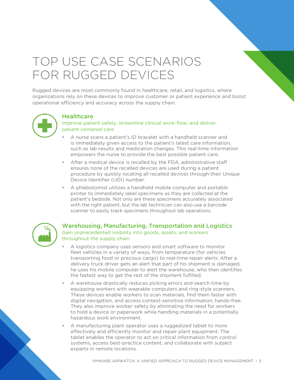## TOP USE CASE SCENARIOS FOR RUGGED DEVICES

Rugged devices are most commonly found in healthcare, retail, and logistics, where organizations rely on these devices to improve customer or patient experience and boost operational efficiency and accuracy across the supply chain.



## **Healthcare**

### Improve patient safety, streamline clinical work-flow, and deliver patient-centered care

- A nurse scans a patient's ID bracelet with a handheld scanner and is immediately given access to the patient's latest care information, such as lab results and medication changes. This real-time information empowers the nurse to provide the best possible patient care.
- After a medical device is recalled by the FDA, administrative staff ensures none of the recalled devices are used during a patient procedure by quickly locating all recalled devices through their Unique Device Identifier (UDI) number.
- A phlebotomist utilizes a handheld mobile computer and portable printer to immediately label specimens as they are collected at the patient's bedside. Not only are these specimens accurately associated with the right patient, but the lab technician can also use a barcode scanner to easily track specimens throughout lab operations.



### Warehousing, Manufacturing, Transportation and Logistics Gain unprecedented visibility into goods, assets, and workers throughout the supply chain

- A logistics company uses sensors and smart software to monitor fleet vehicles in a variety of ways, from temperature (for vehicles transporting food or precious cargo) to real-time repair alerts. After a delivery truck driver gets an alert that part of his shipment is damaged, he uses his mobile computer to alert the warehouse, who then identifies the fastest way to get the rest of the shipment fulfilled.
- A warehouse drastically reduces picking errors and search time by equipping workers with wearable computers and ring-style scanners. These devices enable workers to scan materials, find them faster with digital navigation, and access context-sensitive information, hands-free. They also improve worker safety by eliminating the need for workers to hold a device or paperwork while handling materials in a potentially hazardous work environment.
- A manufacturing plant operator uses a ruggedized tablet to more effectively and efficiently monitor and repair plant equipment. The tablet enables the operator to act on critical information from control systems, access best-practice content, and collaborate with subject experts in remote locations.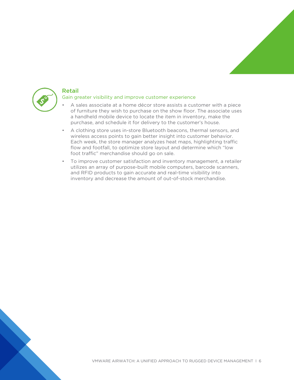



### Retail

#### Gain greater visibility and improve customer experience

- A sales associate at a home décor store assists a customer with a piece of furniture they wish to purchase on the show floor. The associate uses a handheld mobile device to locate the item in inventory, make the purchase, and schedule it for delivery to the customer's house.
- A clothing store uses in-store Bluetooth beacons, thermal sensors, and wireless access points to gain better insight into customer behavior. Each week, the store manager analyzes heat maps, highlighting traffic flow and footfall, to optimize store layout and determine which "low foot traffic" merchandise should go on sale.
- To improve customer satisfaction and inventory management, a retailer utilizes an array of purpose-built mobile computers, barcode scanners, and RFID products to gain accurate and real-time visibility into inventory and decrease the amount of out-of-stock merchandise.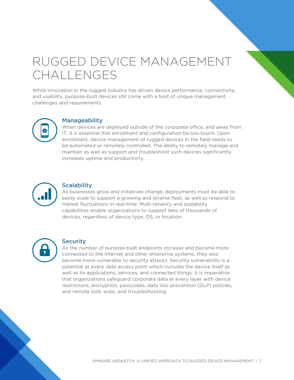## RUGGED DEVICE MANAGEMENT CHALLENGES

While innovation in the rugged industry has driven device performance, connectivity, and usability, purpose-built devices still come with a host of unique management challenges and requirements.



### Manageability

When devices are deployed outside of the corporate office, and away from IT, it is essential that enrollment and configuration be low-touch. Upon enrollment, device management of rugged devices in the field needs to be automated or remotely controlled. The ability to remotely manage and maintain as well as support and troubleshoot such devices significantly increases uptime and productivity.



### **Scalability**

As businesses grow and initiatives change, deployments must be able to easily scale to support a growing and diverse fleet, as well as respond to market fluctuations in real-time. Multi-tenancy and scalability capabilities enable organizations to support tens of thousands of devices, regardless of device type, OS, or location.



### **Security**

As the number of purpose-built endpoints increase and become more connected to the Internet and other enterprise systems, they also become more vulnerable to security attacks. Security vulnerability is a potential at every data access point which includes the device itself as well as its applications, services, and connected things. It is imperative that organizations safeguard corporate data at every layer with device restrictions, encryption, passcodes, data loss prevention (DLP) policies, and remote lock, wipe, and troubleshooting.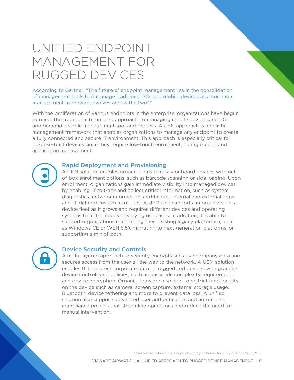## UNIFIED ENDPOINT MANAGEMENT FOR RUGGED DEVICES

According to Gartner, "The future of endpoint management lies in the consolidation of management tools that manage traditional PCs and mobile devices as a common management framework evolves across the two<sup>2</sup>."

With the proliferation of various endpoints in the enterprise, organizations have begun to reject the traditional bifurcated approach, to managing mobile devices and PCs, and demand a single management tool and process. A UEM approach is a holistic management framework that enables organizations to manage any endpoint to create a fully connected and secure IT environment. This approach is especially critical for purpose-built devices since they require low-touch enrollment, configuration, and application management.

#### Rapid Deployment and Provisioning

A UEM solution enables organizations to easily onboard devices with outof-box enrollment options, such as barcode scanning or side loading. Upon enrollment, organizations gain immediate visibility into managed devices by enabling IT to track and collect critical information, such as system diagnostics, network information, certificates, internal and external apps, and IT-defined custom attributes. A UEM also supports an organization's device fleet as it grows and requires different devices and operating systems to fit the needs of varying use cases. In addition, it is able to support organizations maintaining their existing legacy platforms (such as Windows CE or WEH 6.5), migrating to next-generation platforms, or supporting a mix of both.

### Device Security and Controls

A multi-layered approach to security encrypts sensitive company data and secures access from the user all the way to the network. A UEM solution enables IT to protect corporate data on ruggedized devices with granular device controls and policies, such as passcode complexity requirements and device encryption. Organizations are also able to restrict functionality on the device such as camera, screen capture, external storage usage, Bluetooth, device tethering and more to prevent data loss. A unified solution also supports advanced user authentication and automated compliance policies that streamline operations and reduce the need for manual intervention.

2 Gartner, Inc., Mobile and Endpoint Strategies Primer for 2016, by Chris Silva, 2016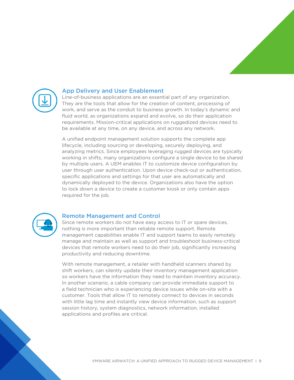



#### App Delivery and User Enablement

Line-of-business applications are an essential part of any organization. They are the tools that allow for the creation of content, processing of work, and serve as the conduit to business growth. In today's dynamic and fluid world, as organizations expand and evolve, so do their application requirements. Mission-critical applications on ruggedized devices need to be available at any time, on any device, and across any network.

A unified endpoint management solution supports the complete app lifecycle, including sourcing or developing, securely deploying, and analyzing metrics. Since employees leveraging rugged devices are typically working in shifts, many organizations configure a single device to be shared by multiple users. A UEM enables IT to customize device configuration by user through user authentication. Upon device check-out or authentication, specific applications and settings for that user are automatically and dynamically deployed to the device. Organizations also have the option to lock down a device to create a customer kiosk or only contain apps required for the job.



#### Remote Management and Control

Since remote workers do not have easy access to IT or spare devices, nothing is more important than reliable remote support. Remote management capabilities enable IT and support teams to easily remotely manage and maintain as well as support and troubleshoot business-critical devices that remote workers need to do their job, significantly increasing productivity and reducing downtime.

With remote management, a retailer with handheld scanners shared by shift workers, can silently update their inventory management application so workers have the information they need to maintain inventory accuracy. In another scenario, a cable company can provide immediate support to a field technician who is experiencing device issues while on-site with a customer. Tools that allow IT to remotely connect to devices in seconds with little lag time and instantly view device information, such as support session history, system diagnostics, network information, installed applications and profiles are critical.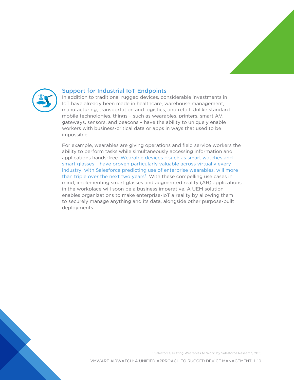



### Support for Industrial IoT Endpoints

In addition to traditional rugged devices, considerable investments in IoT have already been made in healthcare, warehouse management, manufacturing, transportation and logistics, and retail. Unlike standard mobile technologies, things – such as wearables, printers, smart AV, gateways, sensors, and beacons – have the ability to uniquely enable workers with business-critical data or apps in ways that used to be impossible.

For example, wearables are giving operations and field service workers the ability to perform tasks while simultaneously accessing information and applications hands-free. Wearable devices – such as smart watches and smart glasses – have proven particularly valuable across virtually every industry, with Salesforce predicting use of enterprise wearables, will more than triple over the next two years<sup>3</sup>. With these compelling use cases in mind, implementing smart glasses and augmented reality (AR) applications in the workplace will soon be a business imperative. A UEM solution enables organizations to make enterprise-IoT a reality by allowing them to securely manage anything and its data, alongside other purpose-built deployments.

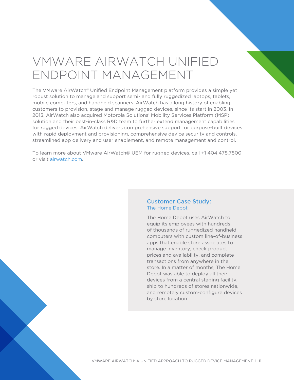## VMWARE AIRWATCH UNIFIED ENDPOINT MANAGEMENT

The VMware AirWatch® Unified Endpoint Management platform provides a simple yet robust solution to manage and support semi- and fully ruggedized laptops, tablets, mobile computers, and handheld scanners. AirWatch has a long history of enabling customers to provision, stage and manage rugged devices, since its start in 2003. In 2013, AirWatch also acquired Motorola Solutions' Mobility Services Platform (MSP) solution and their best-in-class R&D team to further extend management capabilities for rugged devices. AirWatch delivers comprehensive support for purpose-built devices with rapid deployment and provisioning, comprehensive device security and controls, streamlined app delivery and user enablement, and remote management and control.

To learn more about VMware AirWatch® UEM for rugged devices, call +1 404.478.7500 or visit airwatch.com.

#### Customer Case Study: The Home Depot

The Home Depot uses AirWatch to equip its employees with hundreds of thousands of ruggedized handheld computers with custom line-of-business apps that enable store associates to manage inventory, check product prices and availability, and complete transactions from anywhere in the store. In a matter of months, The Home Depot was able to deploy all their devices from a central staging facility, ship to hundreds of stores nationwide, and remotely custom-configure devices by store location.